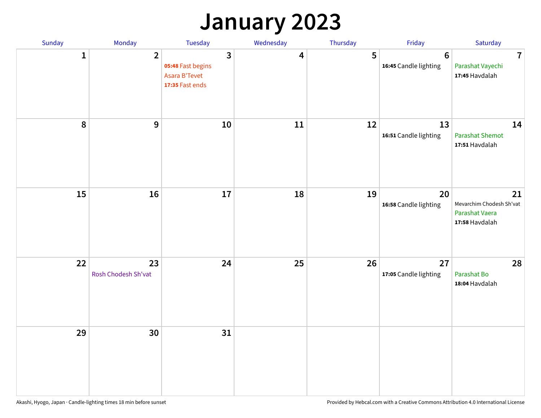## **January 2023**

| Sunday       | Monday                    | Tuesday                                                                      | Wednesday               | Thursday | Friday                                   | Saturday                                                           |
|--------------|---------------------------|------------------------------------------------------------------------------|-------------------------|----------|------------------------------------------|--------------------------------------------------------------------|
| $\mathbf{1}$ | $\overline{2}$            | $\mathbf{3}$<br>05:48 Fast begins<br><b>Asara B'Tevet</b><br>17:35 Fast ends | $\overline{\mathbf{4}}$ | 5        | $6\phantom{1}6$<br>16:45 Candle lighting | $\overline{7}$<br>Parashat Vayechi<br>17:45 Havdalah               |
| $\pmb{8}$    | $\mathbf{9}$              | 10                                                                           | 11                      | 12       | 13<br>16:51 Candle lighting              | 14<br><b>Parashat Shemot</b><br>17:51 Havdalah                     |
| 15           | 16                        | 17                                                                           | 18                      | 19       | 20<br>16:58 Candle lighting              | 21<br>Mevarchim Chodesh Sh'vat<br>Parashat Vaera<br>17:58 Havdalah |
| 22           | 23<br>Rosh Chodesh Sh'vat | 24                                                                           | 25                      | 26       | 27<br>17:05 Candle lighting              | 28<br>Parashat Bo<br>18:04 Havdalah                                |
| 29           | 30                        | 31                                                                           |                         |          |                                          |                                                                    |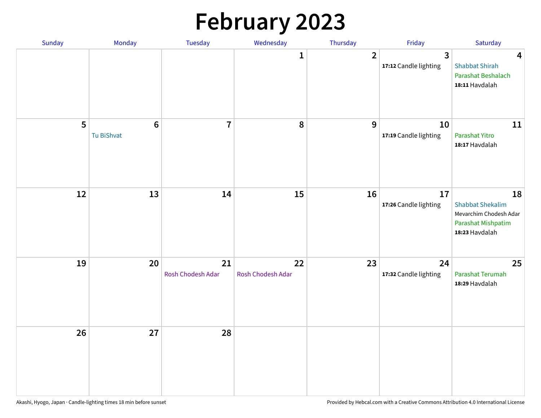# **February 2023**

| Sunday | Monday                        | Tuesday                 | Wednesday               | Thursday       | Friday                                  | Saturday                                                                                        |
|--------|-------------------------------|-------------------------|-------------------------|----------------|-----------------------------------------|-------------------------------------------------------------------------------------------------|
|        |                               |                         | 1                       | $\overline{2}$ | $\overline{3}$<br>17:12 Candle lighting | $\overline{\mathbf{4}}$<br><b>Shabbat Shirah</b><br>Parashat Beshalach<br>18:11 Havdalah        |
| 5      | $6\phantom{1}6$<br>Tu BiShvat | $\overline{7}$          | 8                       | 9              | 10<br>17:19 Candle lighting             | 11<br>Parashat Yitro<br>18:17 Havdalah                                                          |
| 12     | 13                            | 14                      | 15                      | 16             | 17<br>17:26 Candle lighting             | 18<br><b>Shabbat Shekalim</b><br>Mevarchim Chodesh Adar<br>Parashat Mishpatim<br>18:23 Havdalah |
| 19     | 20                            | 21<br>Rosh Chodesh Adar | 22<br>Rosh Chodesh Adar | 23             | 24<br>17:32 Candle lighting             | 25<br>Parashat Terumah<br>18:29 Havdalah                                                        |
| 26     | 27                            | 28                      |                         |                |                                         |                                                                                                 |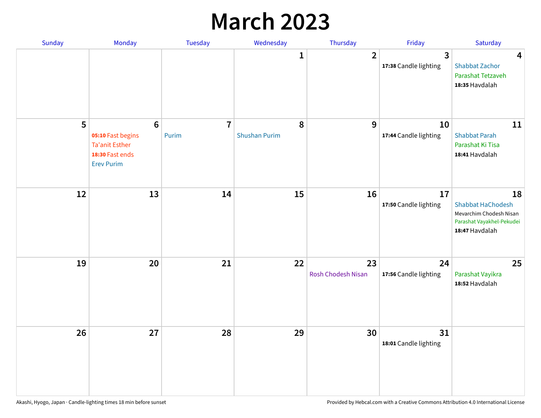## **March 2023**

| Sunday | Monday                                                                                               | Tuesday                 | Wednesday                 | Thursday                 | Friday                      | Saturday                                                                                                 |
|--------|------------------------------------------------------------------------------------------------------|-------------------------|---------------------------|--------------------------|-----------------------------|----------------------------------------------------------------------------------------------------------|
|        |                                                                                                      |                         | 1                         | $\overline{2}$           | 3<br>17:38 Candle lighting  | $\overline{\mathbf{4}}$<br><b>Shabbat Zachor</b><br>Parashat Tetzaveh<br>18:35 Havdalah                  |
| 5      | $6\phantom{a}$<br>05:10 Fast begins<br><b>Ta'anit Esther</b><br>18:30 Fast ends<br><b>Erev Purim</b> | $\overline{7}$<br>Purim | 8<br><b>Shushan Purim</b> | 9                        | 10<br>17:44 Candle lighting | 11<br><b>Shabbat Parah</b><br>Parashat Ki Tisa<br>18:41 Havdalah                                         |
| 12     | 13                                                                                                   | 14                      | 15                        | 16                       | 17<br>17:50 Candle lighting | 18<br><b>Shabbat HaChodesh</b><br>Mevarchim Chodesh Nisan<br>Parashat Vayakhel-Pekudei<br>18:47 Havdalah |
| 19     | 20                                                                                                   | 21                      | 22                        | 23<br>Rosh Chodesh Nisan | 24<br>17:56 Candle lighting | 25<br>Parashat Vayikra<br>18:52 Havdalah                                                                 |
| 26     | 27                                                                                                   | 28                      | 29                        | 30                       | 31<br>18:01 Candle lighting |                                                                                                          |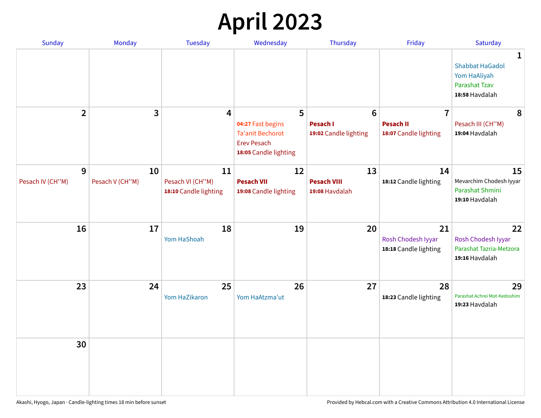# **April 2023**

| Sunday                | Monday                | <b>Tuesday</b>                                  | Wednesday                                                                                 | Thursday                                                    | Friday                                                      | Saturday                                                                              |
|-----------------------|-----------------------|-------------------------------------------------|-------------------------------------------------------------------------------------------|-------------------------------------------------------------|-------------------------------------------------------------|---------------------------------------------------------------------------------------|
|                       |                       |                                                 |                                                                                           |                                                             |                                                             | 1<br><b>Shabbat HaGadol</b><br>Yom HaAliyah<br><b>Parashat Tzav</b><br>18:58 Havdalah |
| $\overline{2}$        | 3                     | 4                                               | 5<br>04:27 Fast begins<br>Ta'anit Bechorot<br><b>Erev Pesach</b><br>18:05 Candle lighting | $6\phantom{1}6$<br><b>Pesach I</b><br>19:02 Candle lighting | $\overline{7}$<br><b>Pesach II</b><br>18:07 Candle lighting | 8<br>Pesach III (CH"M)<br>19:04 Havdalah                                              |
| 9<br>Pesach IV (CH"M) | 10<br>Pesach V (CH"M) | 11<br>Pesach VI (CH"M)<br>18:10 Candle lighting | 12<br><b>Pesach VII</b><br>19:08 Candle lighting                                          | 13<br><b>Pesach VIII</b><br>19:08 Havdalah                  | 14<br>18:12 Candle lighting                                 | 15<br>Mevarchim Chodesh Iyyar<br>Parashat Shmini<br>19:10 Havdalah                    |
| 16                    | 17                    | 18<br>Yom HaShoah                               | 19                                                                                        | 20                                                          | 21<br>Rosh Chodesh Iyyar<br>18:18 Candle lighting           | 22<br>Rosh Chodesh Iyyar<br>Parashat Tazria-Metzora<br>19:16 Havdalah                 |
| 23                    | 24                    | 25<br>Yom HaZikaron                             | 26<br>Yom HaAtzma'ut                                                                      | 27                                                          | 28<br>18:23 Candle lighting                                 | 29<br>Parashat Achrei Mot-Kedoshim<br>19:23 Havdalah                                  |
| 30                    |                       |                                                 |                                                                                           |                                                             |                                                             |                                                                                       |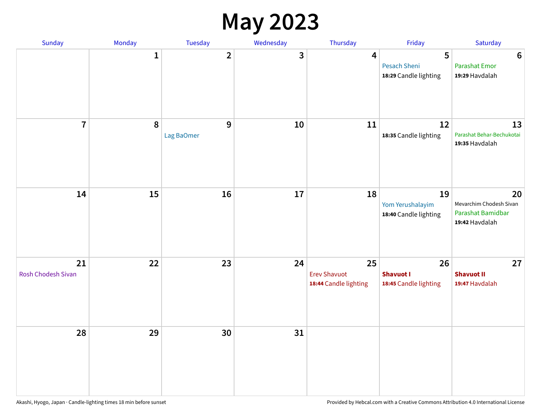#### **May 2023**

| <b>Sunday</b>            | Monday      | Tuesday         | Wednesday | Thursday                                           | Friday                                          | Saturday                                                             |
|--------------------------|-------------|-----------------|-----------|----------------------------------------------------|-------------------------------------------------|----------------------------------------------------------------------|
|                          | $\mathbf 1$ | $\mathbf{2}$    | 3         | 4                                                  | 5<br>Pesach Sheni<br>18:29 Candle lighting      | $\boldsymbol{6}$<br><b>Parashat Emor</b><br>19:29 Havdalah           |
| $\overline{7}$           | $\pmb{8}$   | 9<br>Lag BaOmer | 10        | 11                                                 | 12<br>18:35 Candle lighting                     | 13<br>Parashat Behar-Bechukotai<br>19:35 Havdalah                    |
| 14                       | 15          | 16              | 17        | 18                                                 | 19<br>Yom Yerushalayim<br>18:40 Candle lighting | 20<br>Mevarchim Chodesh Sivan<br>Parashat Bamidbar<br>19:42 Havdalah |
| 21<br>Rosh Chodesh Sivan | 22          | 23              | 24        | 25<br><b>Erev Shavuot</b><br>18:44 Candle lighting | 26<br><b>Shavuot I</b><br>18:45 Candle lighting | 27<br><b>Shavuot II</b><br>19:47 Havdalah                            |
| 28                       | 29          | 30              | 31        |                                                    |                                                 |                                                                      |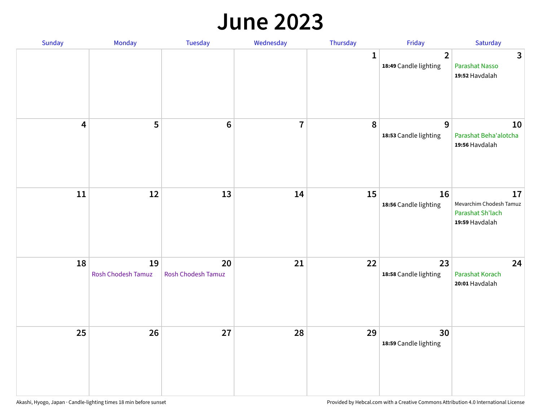#### **June 2023**

| Sunday                  | Monday                   | Tuesday                         | Wednesday      | Thursday     | Friday                                  | Saturday                                                            |
|-------------------------|--------------------------|---------------------------------|----------------|--------------|-----------------------------------------|---------------------------------------------------------------------|
|                         |                          |                                 |                | $\mathbf{1}$ | $\overline{2}$<br>18:49 Candle lighting | $\mathbf{3}$<br>Parashat Nasso<br>19:52 Havdalah                    |
| $\overline{\mathbf{4}}$ | 5                        | $\bf 6$                         | $\overline{7}$ | 8            | 9<br>18:53 Candle lighting              | 10<br>Parashat Beha'alotcha<br>19:56 Havdalah                       |
| $11\,$                  | 12                       | 13                              | 14             | 15           | 16<br>18:56 Candle lighting             | 17<br>Mevarchim Chodesh Tamuz<br>Parashat Sh'lach<br>19:59 Havdalah |
| 18                      | 19<br>Rosh Chodesh Tamuz | 20<br><b>Rosh Chodesh Tamuz</b> | 21             | 22           | 23<br>18:58 Candle lighting             | 24<br>Parashat Korach<br>20:01 Havdalah                             |
| 25                      | 26                       | 27                              | 28             | 29           | 30<br>18:59 Candle lighting             |                                                                     |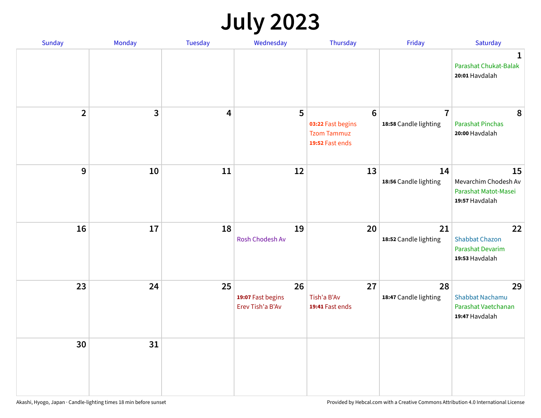# **July 2023**

| Sunday                  | Monday       | <b>Tuesday</b>          | Wednesday                                   | Thursday                                                                      | Friday                                  | Saturday                                                              |
|-------------------------|--------------|-------------------------|---------------------------------------------|-------------------------------------------------------------------------------|-----------------------------------------|-----------------------------------------------------------------------|
|                         |              |                         |                                             |                                                                               |                                         | $\mathbf 1$<br>Parashat Chukat-Balak<br>20:01 Havdalah                |
| $\overline{\mathbf{2}}$ | $\mathbf{3}$ | $\overline{\mathbf{4}}$ | 5                                           | $6\phantom{1}6$<br>03:22 Fast begins<br><b>Tzom Tammuz</b><br>19:52 Fast ends | $\overline{7}$<br>18:58 Candle lighting | 8<br><b>Parashat Pinchas</b><br>20:00 Havdalah                        |
| 9                       | 10           | 11                      | 12                                          | 13                                                                            | 14<br>18:56 Candle lighting             | 15<br>Mevarchim Chodesh Av<br>Parashat Matot-Masei<br>19:57 Havdalah  |
| 16                      | 17           | 18                      | 19<br>Rosh Chodesh Av                       | 20                                                                            | 21<br>18:52 Candle lighting             | 22<br><b>Shabbat Chazon</b><br>Parashat Devarim<br>19:53 Havdalah     |
| 23                      | 24           | 25                      | 26<br>19:07 Fast begins<br>Erev Tish'a B'Av | 27<br>Tish'a B'Av<br>19:41 Fast ends                                          | 28<br>18:47 Candle lighting             | 29<br><b>Shabbat Nachamu</b><br>Parashat Vaetchanan<br>19:47 Havdalah |
| 30                      | 31           |                         |                                             |                                                                               |                                         |                                                                       |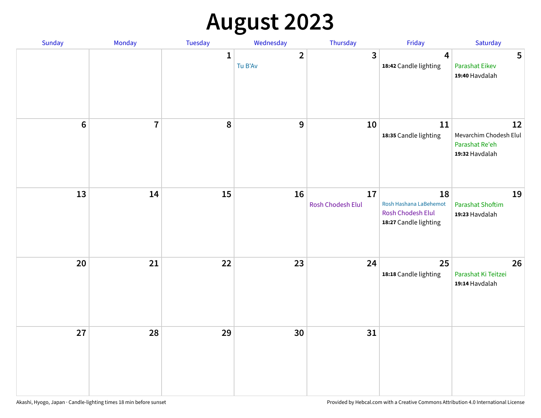# **August 2023**

| Sunday         | Monday         | Tuesday      | Wednesday               | Thursday                | Friday                                                                     | Saturday                                                         |
|----------------|----------------|--------------|-------------------------|-------------------------|----------------------------------------------------------------------------|------------------------------------------------------------------|
|                |                | $\mathbf{1}$ | $\mathbf{2}$<br>Tu B'Av | $\overline{\mathbf{3}}$ | $\overline{4}$<br>18:42 Candle lighting                                    | 5<br><b>Parashat Eikev</b><br>19:40 Havdalah                     |
| $6\phantom{a}$ | $\overline{7}$ | 8            | $\mathbf{9}$            | 10                      | 11<br>18:35 Candle lighting                                                | 12<br>Mevarchim Chodesh Elul<br>Parashat Re'eh<br>19:32 Havdalah |
| 13             | 14             | 15           | 16                      | 17<br>Rosh Chodesh Elul | 18<br>Rosh Hashana LaBehemot<br>Rosh Chodesh Elul<br>18:27 Candle lighting | 19<br><b>Parashat Shoftim</b><br>19:23 Havdalah                  |
| 20             | 21             | 22           | 23                      | 24                      | 25<br>18:18 Candle lighting                                                | 26<br>Parashat Ki Teitzei<br>19:14 Havdalah                      |
| 27             | 28             | 29           | 30                      | 31                      |                                                                            |                                                                  |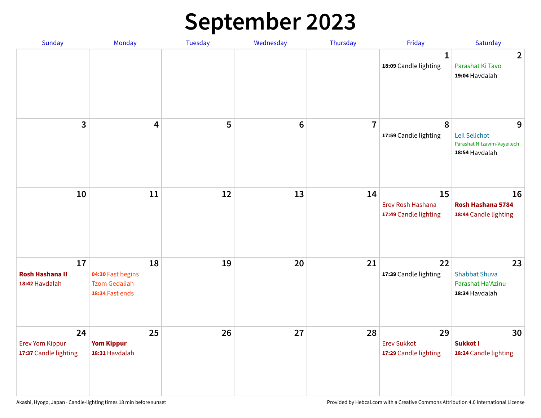# **September 2023**

| Sunday                                                | Monday                                                             | Tuesday | Wednesday       | Thursday       | Friday                                            | Saturday                                                            |
|-------------------------------------------------------|--------------------------------------------------------------------|---------|-----------------|----------------|---------------------------------------------------|---------------------------------------------------------------------|
|                                                       |                                                                    |         |                 |                | 1<br>18:09 Candle lighting                        | $\overline{2}$<br>Parashat Ki Tavo<br>19:04 Havdalah                |
| 3                                                     | $\overline{\mathbf{4}}$                                            | 5       | $6\phantom{1}6$ | $\overline{7}$ | 8<br>17:59 Candle lighting                        | 9<br>Leil Selichot<br>Parashat Nitzavim-Vayeilech<br>18:54 Havdalah |
| 10                                                    | 11                                                                 | 12      | 13              | 14             | 15<br>Erev Rosh Hashana<br>17:49 Candle lighting  | 16<br>Rosh Hashana 5784<br>18:44 Candle lighting                    |
| 17<br><b>Rosh Hashana II</b><br>18:42 Havdalah        | 18<br>04:30 Fast begins<br><b>Tzom Gedaliah</b><br>18:34 Fast ends | 19      | 20              | 21             | 22<br>17:39 Candle lighting                       | 23<br><b>Shabbat Shuva</b><br>Parashat Ha'Azinu<br>18:34 Havdalah   |
| 24<br><b>Erev Yom Kippur</b><br>17:37 Candle lighting | 25<br><b>Yom Kippur</b><br>18:31 Havdalah                          | 26      | 27              | 28             | 29<br><b>Erev Sukkot</b><br>17:29 Candle lighting | 30<br>Sukkot I<br>18:24 Candle lighting                             |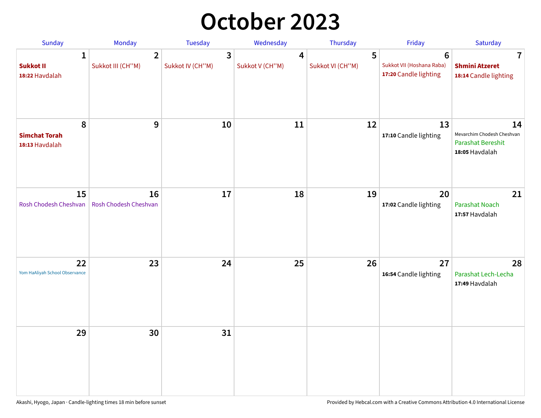## **October 2023**

| Sunday                                             | <b>Monday</b>                       | <b>Tuesday</b>        | Wednesday            | Thursday              | Friday                                                               | Saturday                                                                       |
|----------------------------------------------------|-------------------------------------|-----------------------|----------------------|-----------------------|----------------------------------------------------------------------|--------------------------------------------------------------------------------|
| $\mathbf{1}$<br><b>Sukkot II</b><br>18:22 Havdalah | $\overline{2}$<br>Sukkot III (CH"M) | 3<br>Sukkot IV (CH"M) | 4<br>Sukkot V (CH"M) | 5<br>Sukkot VI (CH"M) | $6\phantom{1}$<br>Sukkot VII (Hoshana Raba)<br>17:20 Candle lighting | 7<br><b>Shmini Atzeret</b><br>18:14 Candle lighting                            |
| 8<br><b>Simchat Torah</b><br>18:13 Havdalah        | $\boldsymbol{9}$                    | 10                    | 11                   | 12                    | 13<br>17:10 Candle lighting                                          | 14<br>Mevarchim Chodesh Cheshvan<br><b>Parashat Bereshit</b><br>18:05 Havdalah |
| 15<br>Rosh Chodesh Cheshvan                        | 16<br>Rosh Chodesh Cheshvan         | 17                    | 18                   | 19                    | 20<br>17:02 Candle lighting                                          | 21<br>Parashat Noach<br>17:57 Havdalah                                         |
| 22<br>Yom HaAliyah School Observance               | 23                                  | 24                    | 25                   | 26                    | 27<br>16:54 Candle lighting                                          | 28<br>Parashat Lech-Lecha<br>17:49 Havdalah                                    |
| 29                                                 | 30                                  | 31                    |                      |                       |                                                                      |                                                                                |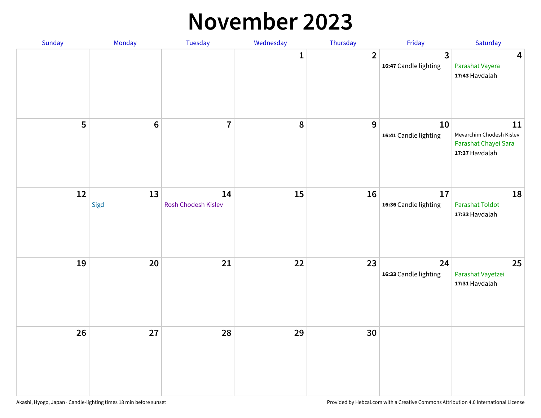#### **November 2023**

| Sunday | Monday          | Tuesday                   | Wednesday    | Thursday       | Friday                      | Saturday                                                                 |
|--------|-----------------|---------------------------|--------------|----------------|-----------------------------|--------------------------------------------------------------------------|
|        |                 |                           | $\mathbf{1}$ | $\overline{2}$ | 3<br>16:47 Candle lighting  | $\overline{\mathbf{4}}$<br>Parashat Vayera<br>17:43 Havdalah             |
| 5      | $6\phantom{1}6$ | $\overline{\mathbf{7}}$   | 8            | 9              | 10<br>16:41 Candle lighting | 11<br>Mevarchim Chodesh Kislev<br>Parashat Chayei Sara<br>17:37 Havdalah |
| 12     | 13<br>Sigd      | 14<br>Rosh Chodesh Kislev | 15           | 16             | 17<br>16:36 Candle lighting | 18<br><b>Parashat Toldot</b><br>17:33 Havdalah                           |
| 19     | 20              | 21                        | 22           | 23             | 24<br>16:33 Candle lighting | 25<br>Parashat Vayetzei<br>17:31 Havdalah                                |
| 26     | 27              | 28                        | 29           | 30             |                             |                                                                          |